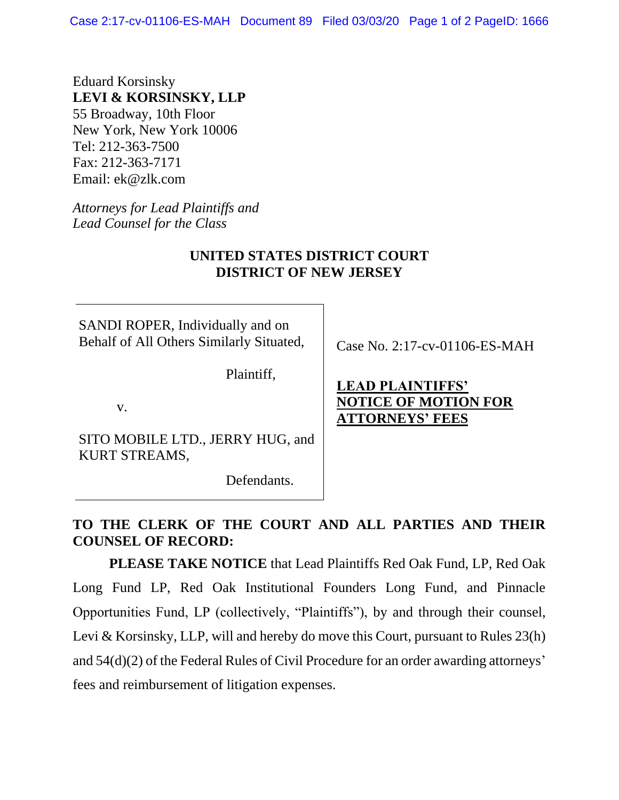Case 2:17-cv-01106-ES-MAH Document 89 Filed 03/03/20 Page 1 of 2 PageID: 1666

Eduard Korsinsky **LEVI & KORSINSKY, LLP** 55 Broadway, 10th Floor New York, New York 10006 Tel: 212-363-7500 Fax: 212-363-7171 Email: ek@zlk.com

*Attorneys for Lead Plaintiffs and Lead Counsel for the Class*

#### **UNITED STATES DISTRICT COURT DISTRICT OF NEW JERSEY**

SANDI ROPER, Individually and on Behalf of All Others Similarly Situated,

Plaintiff,

v.

SITO MOBILE LTD., JERRY HUG, and KURT STREAMS,

Defendants.

Case No. 2:17-cv-01106-ES-MAH

## **LEAD PLAINTIFFS' NOTICE OF MOTION FOR ATTORNEYS' FEES**

## **TO THE CLERK OF THE COURT AND ALL PARTIES AND THEIR COUNSEL OF RECORD:**

**PLEASE TAKE NOTICE** that Lead Plaintiffs Red Oak Fund, LP, Red Oak Long Fund LP, Red Oak Institutional Founders Long Fund, and Pinnacle Opportunities Fund, LP (collectively, "Plaintiffs"), by and through their counsel, Levi & Korsinsky, LLP, will and hereby do move this Court, pursuant to Rules 23(h) and 54(d)(2) of the Federal Rules of Civil Procedure for an order awarding attorneys' fees and reimbursement of litigation expenses.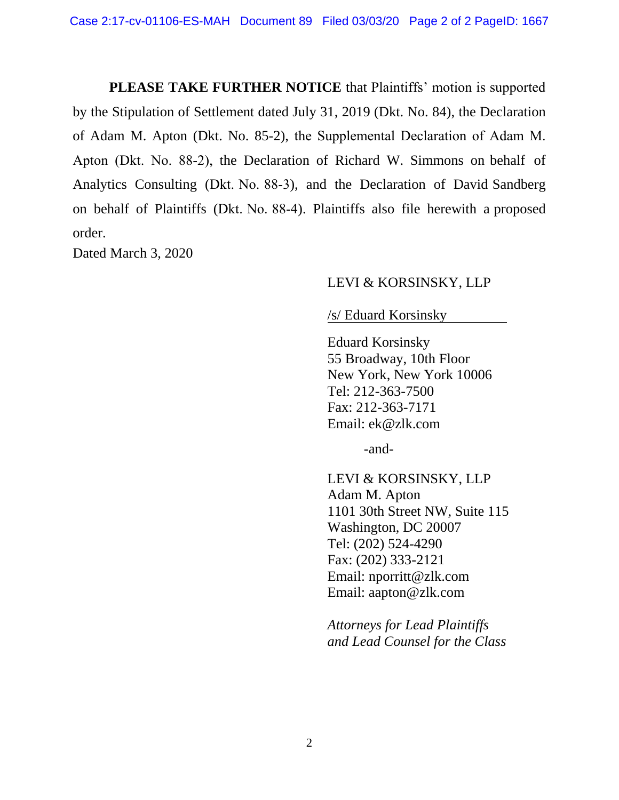**PLEASE TAKE FURTHER NOTICE** that Plaintiffs' motion is supported by the Stipulation of Settlement dated July 31, 2019 (Dkt. No. 84), the Declaration of Adam M. Apton (Dkt. No. 85-2), the Supplemental Declaration of Adam M. Apton (Dkt. No. 88-2), the Declaration of Richard W. Simmons on behalf of Analytics Consulting (Dkt. No. 88-3), and the Declaration of David Sandberg on behalf of Plaintiffs (Dkt. No. 88-4). Plaintiffs also file herewith a proposed order.

Dated March 3, 2020

#### LEVI & KORSINSKY, LLP

/s/ Eduard Korsinsky .

Eduard Korsinsky 55 Broadway, 10th Floor New York, New York 10006 Tel: 212-363-7500 Fax: 212-363-7171 Email: ek@zlk.com

-and-

LEVI & KORSINSKY, LLP Adam M. Apton 1101 30th Street NW, Suite 115 Washington, DC 20007 Tel: (202) 524-4290 Fax: (202) 333-2121 Email: nporritt@zlk.com Email: aapton@zlk.com

*Attorneys for Lead Plaintiffs and Lead Counsel for the Class*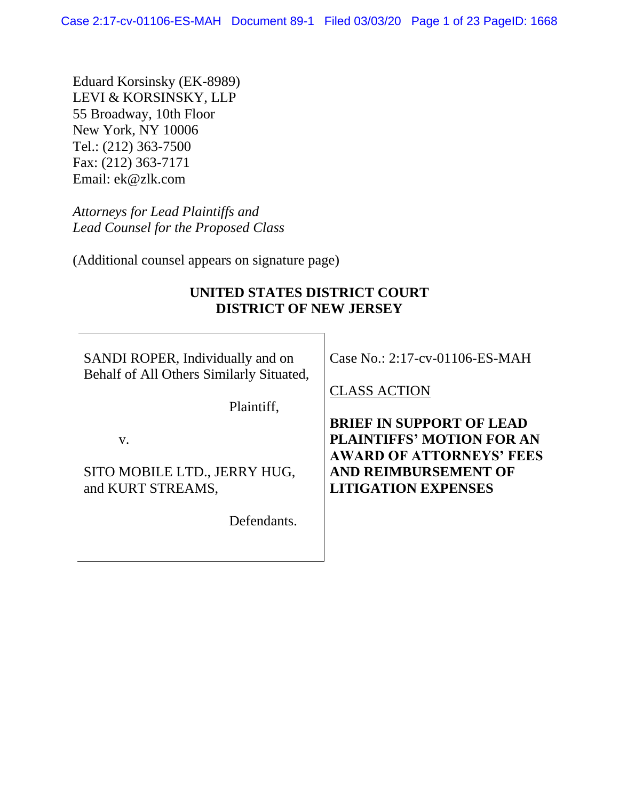Eduard Korsinsky (EK-8989) LEVI & KORSINSKY, LLP 55 Broadway, 10th Floor New York, NY 10006 Tel.: (212) 363-7500 Fax: (212) 363-7171 Email: ek@zlk.com

*Attorneys for Lead Plaintiffs and Lead Counsel for the Proposed Class*

(Additional counsel appears on signature page)

#### **UNITED STATES DISTRICT COURT DISTRICT OF NEW JERSEY**

SANDI ROPER, Individually and on Behalf of All Others Similarly Situated,

Plaintiff,

v.

SITO MOBILE LTD., JERRY HUG, and KURT STREAMS,

Defendants.

Case No.: 2:17-cv-01106-ES-MAH

CLASS ACTION

**BRIEF IN SUPPORT OF LEAD PLAINTIFFS' MOTION FOR AN AWARD OF ATTORNEYS' FEES AND REIMBURSEMENT OF LITIGATION EXPENSES**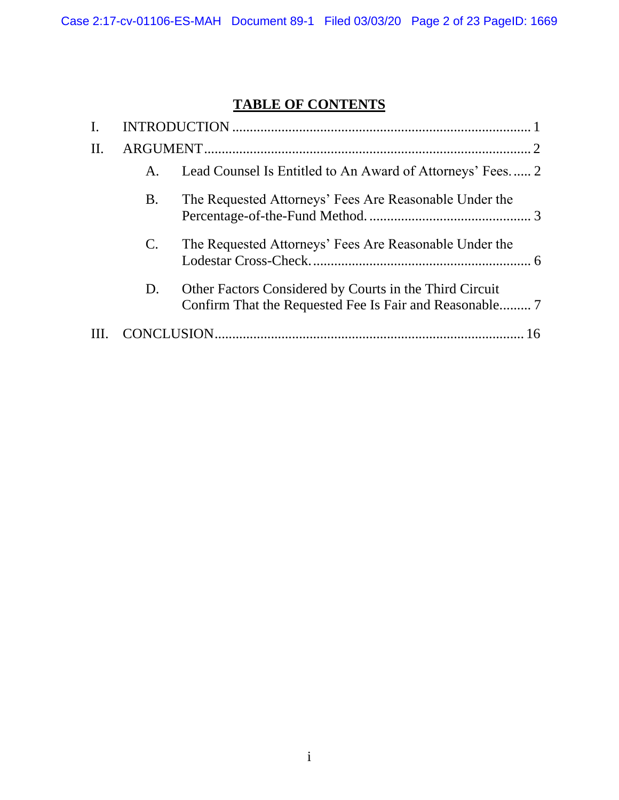# **TABLE OF CONTENTS**

| H. |                 |                                                           |  |  |
|----|-----------------|-----------------------------------------------------------|--|--|
|    | A.              | Lead Counsel Is Entitled to An Award of Attorneys' Fees 2 |  |  |
|    | <b>B.</b>       | The Requested Attorneys' Fees Are Reasonable Under the    |  |  |
|    | $\mathcal{C}$ . | The Requested Attorneys' Fees Are Reasonable Under the    |  |  |
|    | D.              | Other Factors Considered by Courts in the Third Circuit   |  |  |
|    |                 |                                                           |  |  |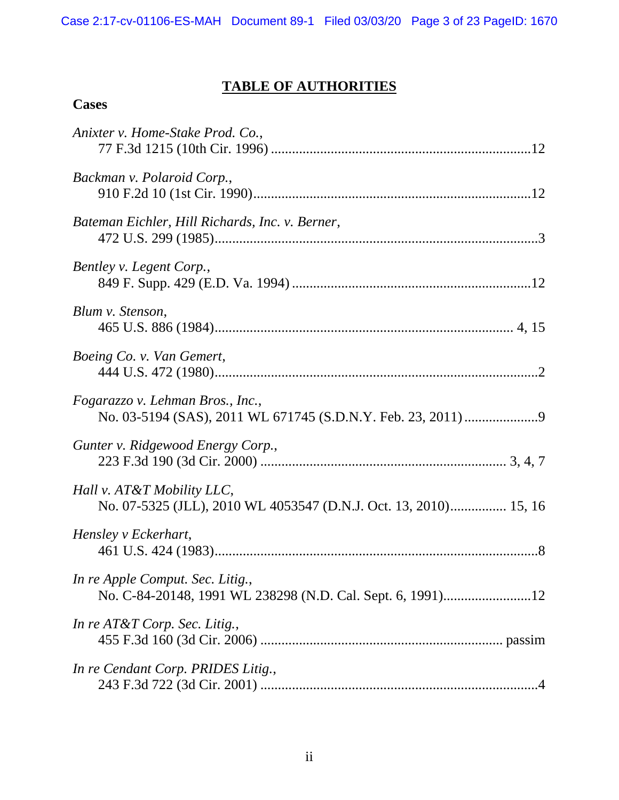# **TABLE OF AUTHORITIES**

## **Cases**

| Anixter v. Home-Stake Prod. Co.,                                                               |
|------------------------------------------------------------------------------------------------|
| Backman v. Polaroid Corp.,                                                                     |
| Bateman Eichler, Hill Richards, Inc. v. Berner,                                                |
| Bentley v. Legent Corp.,                                                                       |
| Blum v. Stenson,                                                                               |
| Boeing Co. v. Van Gemert,                                                                      |
| Fogarazzo v. Lehman Bros., Inc.,                                                               |
| Gunter v. Ridgewood Energy Corp.,                                                              |
| Hall v. AT&T Mobility LLC,<br>No. 07-5325 (JLL), 2010 WL 4053547 (D.N.J. Oct. 13, 2010) 15, 16 |
| Hensley v Eckerhart,                                                                           |
| In re Apple Comput. Sec. Litig.,                                                               |
| In re $AT&T$ Corp. Sec. Litig.,                                                                |
| In re Cendant Corp. PRIDES Litig.,                                                             |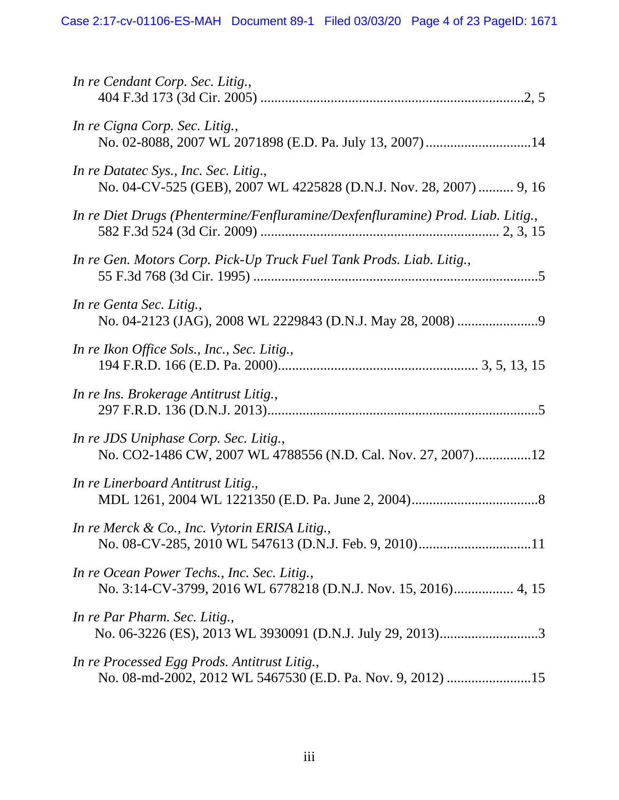| In re Cendant Corp. Sec. Litig.,                                                                            |
|-------------------------------------------------------------------------------------------------------------|
| In re Cigna Corp. Sec. Litig.,<br>No. 02-8088, 2007 WL 2071898 (E.D. Pa. July 13, 2007)14                   |
| In re Datatec Sys., Inc. Sec. Litig.,<br>No. 04-CV-525 (GEB), 2007 WL 4225828 (D.N.J. Nov. 28, 2007)  9, 16 |
| In re Diet Drugs (Phentermine/Fenfluramine/Dexfenfluramine) Prod. Liab. Litig.,                             |
| In re Gen. Motors Corp. Pick-Up Truck Fuel Tank Prods. Liab. Litig.,                                        |
| In re Genta Sec. Litig.,                                                                                    |
| In re Ikon Office Sols., Inc., Sec. Litig.,                                                                 |
| In re Ins. Brokerage Antitrust Litig.,                                                                      |
| In re JDS Uniphase Corp. Sec. Litig.,<br>No. CO2-1486 CW, 2007 WL 4788556 (N.D. Cal. Nov. 27, 2007)12       |
| In re Linerboard Antitrust Litig.,                                                                          |
| In re Merck & Co., Inc. Vytorin ERISA Litig.,                                                               |
| In re Ocean Power Techs., Inc. Sec. Litig.,                                                                 |
| In re Par Pharm. Sec. Litig.,                                                                               |
| In re Processed Egg Prods. Antitrust Litig.,<br>No. 08-md-2002, 2012 WL 5467530 (E.D. Pa. Nov. 9, 2012) 15  |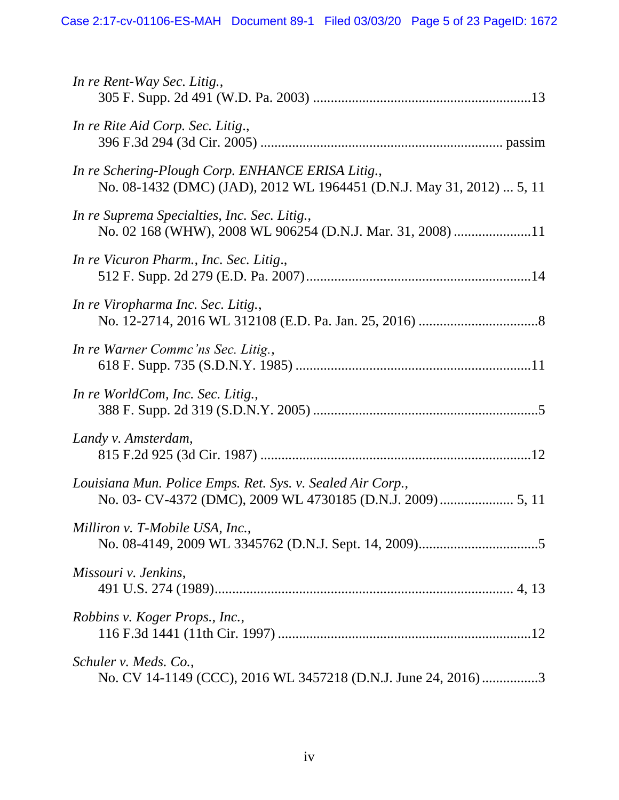| In re Rent-Way Sec. Litig.,                                                                                                |
|----------------------------------------------------------------------------------------------------------------------------|
| In re Rite Aid Corp. Sec. Litig.,                                                                                          |
| In re Schering-Plough Corp. ENHANCE ERISA Litig.,<br>No. 08-1432 (DMC) (JAD), 2012 WL 1964451 (D.N.J. May 31, 2012)  5, 11 |
| In re Suprema Specialties, Inc. Sec. Litig.,<br>No. 02 168 (WHW), 2008 WL 906254 (D.N.J. Mar. 31, 2008) 11                 |
| In re Vicuron Pharm., Inc. Sec. Litig.,                                                                                    |
| In re Viropharma Inc. Sec. Litig.,                                                                                         |
| In re Warner Commc'ns Sec. Litig.,                                                                                         |
| In re WorldCom, Inc. Sec. Litig.,                                                                                          |
| Landy v. Amsterdam,                                                                                                        |
| Louisiana Mun. Police Emps. Ret. Sys. v. Sealed Air Corp.,                                                                 |
| Milliron v. T-Mobile USA, Inc.,                                                                                            |
| Missouri v. Jenkins,                                                                                                       |
| Robbins v. Koger Props., Inc.,                                                                                             |
| Schuler v. Meds. Co.,<br>No. CV 14-1149 (CCC), 2016 WL 3457218 (D.N.J. June 24, 2016)3                                     |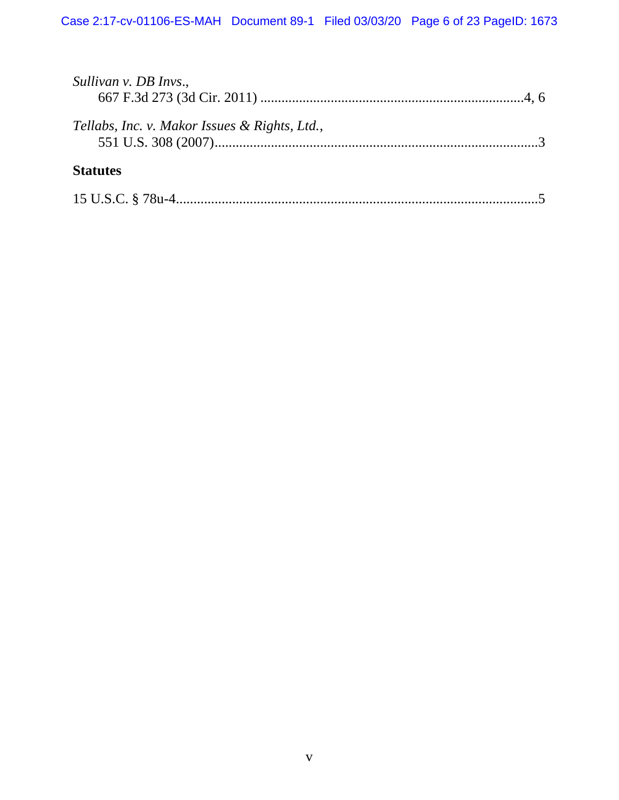| Sullivan v. DB Invs.,                         |  |
|-----------------------------------------------|--|
| Tellabs, Inc. v. Makor Issues & Rights, Ltd., |  |
| <b>Statutes</b>                               |  |
|                                               |  |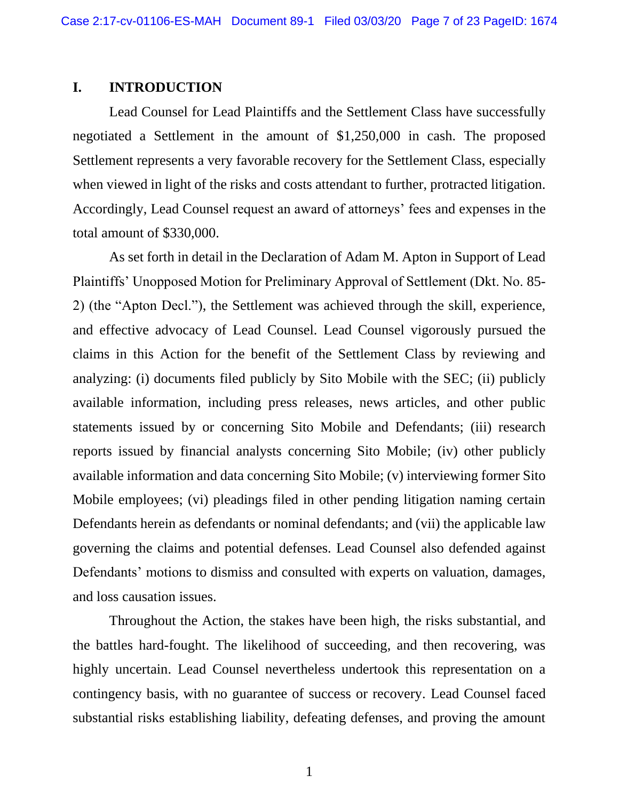#### <span id="page-8-0"></span>**I. INTRODUCTION**

Lead Counsel for Lead Plaintiffs and the Settlement Class have successfully negotiated a Settlement in the amount of \$1,250,000 in cash. The proposed Settlement represents a very favorable recovery for the Settlement Class, especially when viewed in light of the risks and costs attendant to further, protracted litigation. Accordingly, Lead Counsel request an award of attorneys' fees and expenses in the total amount of \$330,000.

As set forth in detail in the Declaration of Adam M. Apton in Support of Lead Plaintiffs' Unopposed Motion for Preliminary Approval of Settlement (Dkt. No. 85- 2) (the "Apton Decl."), the Settlement was achieved through the skill, experience, and effective advocacy of Lead Counsel. Lead Counsel vigorously pursued the claims in this Action for the benefit of the Settlement Class by reviewing and analyzing: (i) documents filed publicly by Sito Mobile with the SEC; (ii) publicly available information, including press releases, news articles, and other public statements issued by or concerning Sito Mobile and Defendants; (iii) research reports issued by financial analysts concerning Sito Mobile; (iv) other publicly available information and data concerning Sito Mobile; (v) interviewing former Sito Mobile employees; (vi) pleadings filed in other pending litigation naming certain Defendants herein as defendants or nominal defendants; and (vii) the applicable law governing the claims and potential defenses. Lead Counsel also defended against Defendants' motions to dismiss and consulted with experts on valuation, damages, and loss causation issues.

Throughout the Action, the stakes have been high, the risks substantial, and the battles hard-fought. The likelihood of succeeding, and then recovering, was highly uncertain. Lead Counsel nevertheless undertook this representation on a contingency basis, with no guarantee of success or recovery. Lead Counsel faced substantial risks establishing liability, defeating defenses, and proving the amount

1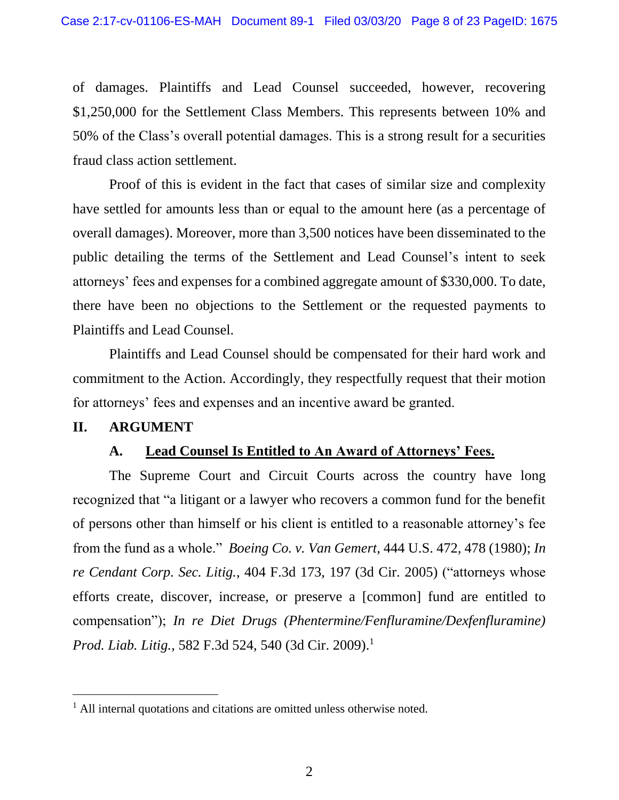of damages. Plaintiffs and Lead Counsel succeeded, however, recovering \$1,250,000 for the Settlement Class Members. This represents between 10% and 50% of the Class's overall potential damages. This is a strong result for a securities fraud class action settlement.

Proof of this is evident in the fact that cases of similar size and complexity have settled for amounts less than or equal to the amount here (as a percentage of overall damages). Moreover, more than 3,500 notices have been disseminated to the public detailing the terms of the Settlement and Lead Counsel's intent to seek attorneys' fees and expenses for a combined aggregate amount of \$330,000. To date, there have been no objections to the Settlement or the requested payments to Plaintiffs and Lead Counsel.

Plaintiffs and Lead Counsel should be compensated for their hard work and commitment to the Action. Accordingly, they respectfully request that their motion for attorneys' fees and expenses and an incentive award be granted.

#### <span id="page-9-1"></span><span id="page-9-0"></span>**II. ARGUMENT**

#### **A. Lead Counsel Is Entitled to An Award of Attorneys' Fees.**

The Supreme Court and Circuit Courts across the country have long recognized that "a litigant or a lawyer who recovers a common fund for the benefit of persons other than himself or his client is entitled to a reasonable attorney's fee from the fund as a whole." *Boeing Co. v. Van Gemert*, 444 U.S. 472, 478 (1980); *In re Cendant Corp. Sec. Litig.*, 404 F.3d 173, 197 (3d Cir. 2005) ("attorneys whose efforts create, discover, increase, or preserve a [common] fund are entitled to compensation"); *In re Diet Drugs (Phentermine/Fenfluramine/Dexfenfluramine) Prod. Liab. Litig.*, 582 F.3d 524, 540 (3d Cir. 2009). 1

<sup>&</sup>lt;sup>1</sup> All internal quotations and citations are omitted unless otherwise noted.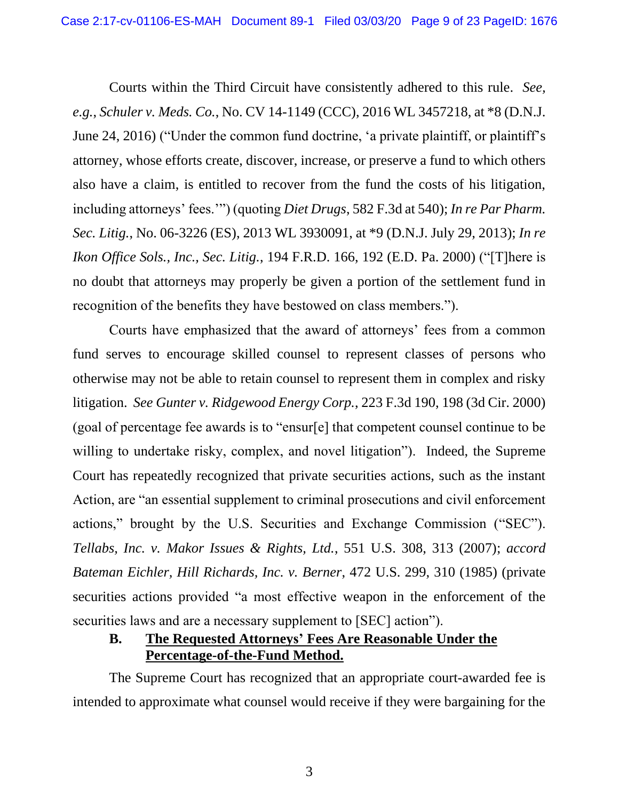Courts within the Third Circuit have consistently adhered to this rule. *See, e.g.*, *Schuler v. Meds. Co.*, No. CV 14-1149 (CCC), 2016 WL 3457218, at \*8 (D.N.J. June 24, 2016) ("Under the common fund doctrine, 'a private plaintiff, or plaintiff's attorney, whose efforts create, discover, increase, or preserve a fund to which others also have a claim, is entitled to recover from the fund the costs of his litigation, including attorneys' fees.'") (quoting *Diet Drugs*, 582 F.3d at 540); *In re Par Pharm. Sec. Litig.*, No. 06-3226 (ES), 2013 WL 3930091, at \*9 (D.N.J. July 29, 2013); *In re Ikon Office Sols., Inc., Sec. Litig.*, 194 F.R.D. 166, 192 (E.D. Pa. 2000) ("[T]here is no doubt that attorneys may properly be given a portion of the settlement fund in recognition of the benefits they have bestowed on class members.").

Courts have emphasized that the award of attorneys' fees from a common fund serves to encourage skilled counsel to represent classes of persons who otherwise may not be able to retain counsel to represent them in complex and risky litigation. *See Gunter v. Ridgewood Energy Corp.*, 223 F.3d 190, 198 (3d Cir. 2000) (goal of percentage fee awards is to "ensur[e] that competent counsel continue to be willing to undertake risky, complex, and novel litigation"). Indeed, the Supreme Court has repeatedly recognized that private securities actions, such as the instant Action, are "an essential supplement to criminal prosecutions and civil enforcement actions," brought by the U.S. Securities and Exchange Commission ("SEC"). *Tellabs, Inc. v. Makor Issues & Rights, Ltd.*, 551 U.S. 308, 313 (2007); *accord Bateman Eichler, Hill Richards, Inc. v. Berner*, 472 U.S. 299, 310 (1985) (private securities actions provided "a most effective weapon in the enforcement of the securities laws and are a necessary supplement to [SEC] action").

## <span id="page-10-0"></span>**B. The Requested Attorneys' Fees Are Reasonable Under the Percentage-of-the-Fund Method.**

The Supreme Court has recognized that an appropriate court-awarded fee is intended to approximate what counsel would receive if they were bargaining for the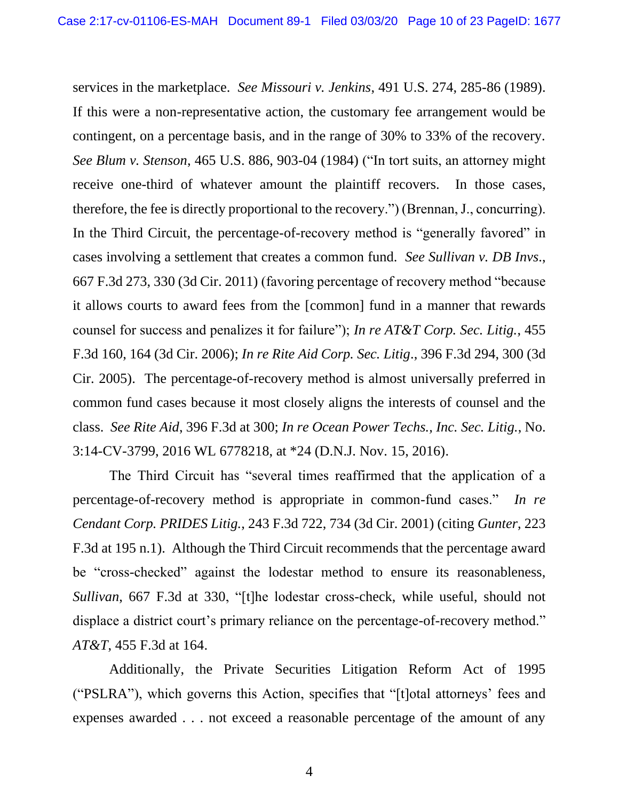services in the marketplace. *See Missouri v. Jenkins*, 491 U.S. 274, 285-86 (1989). If this were a non-representative action, the customary fee arrangement would be contingent, on a percentage basis, and in the range of 30% to 33% of the recovery. *See Blum v. Stenson*, 465 U.S. 886, 903-04 (1984) ("In tort suits, an attorney might receive one-third of whatever amount the plaintiff recovers. In those cases, therefore, the fee is directly proportional to the recovery.") (Brennan, J., concurring). In the Third Circuit, the percentage-of-recovery method is "generally favored" in cases involving a settlement that creates a common fund. *See Sullivan v. DB Invs*., 667 F.3d 273, 330 (3d Cir. 2011) (favoring percentage of recovery method "because it allows courts to award fees from the [common] fund in a manner that rewards counsel for success and penalizes it for failure"); *In re AT&T Corp. Sec. Litig.*, 455 F.3d 160, 164 (3d Cir. 2006); *In re Rite Aid Corp. Sec. Litig*., 396 F.3d 294, 300 (3d Cir. 2005). The percentage-of-recovery method is almost universally preferred in common fund cases because it most closely aligns the interests of counsel and the class. *See Rite Aid*, 396 F.3d at 300; *In re Ocean Power Techs., Inc. Sec. Litig.*, No. 3:14-CV-3799, 2016 WL 6778218, at \*24 (D.N.J. Nov. 15, 2016).

The Third Circuit has "several times reaffirmed that the application of a percentage-of-recovery method is appropriate in common-fund cases." *In re Cendant Corp. PRIDES Litig.*, 243 F.3d 722, 734 (3d Cir. 2001) (citing *Gunter*, 223 F.3d at 195 n.1). Although the Third Circuit recommends that the percentage award be "cross-checked" against the lodestar method to ensure its reasonableness, *Sullivan*, 667 F.3d at 330, "[t]he lodestar cross-check, while useful, should not displace a district court's primary reliance on the percentage-of-recovery method." *AT&T*, 455 F.3d at 164.

Additionally, the Private Securities Litigation Reform Act of 1995 ("PSLRA"), which governs this Action, specifies that "[t]otal attorneys' fees and expenses awarded . . . not exceed a reasonable percentage of the amount of any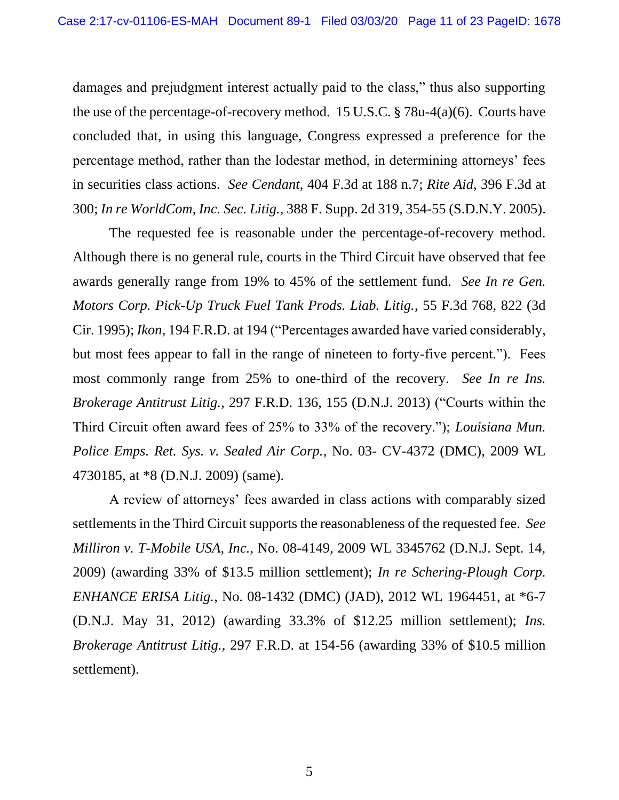damages and prejudgment interest actually paid to the class," thus also supporting the use of the percentage-of-recovery method. 15 U.S.C. § 78u-4(a)(6). Courts have concluded that, in using this language, Congress expressed a preference for the percentage method, rather than the lodestar method, in determining attorneys' fees in securities class actions. *See Cendant*, 404 F.3d at 188 n.7; *Rite Aid*, 396 F.3d at 300; *In re WorldCom, Inc. Sec. Litig.*, 388 F. Supp. 2d 319, 354-55 (S.D.N.Y. 2005).

The requested fee is reasonable under the percentage-of-recovery method. Although there is no general rule, courts in the Third Circuit have observed that fee awards generally range from 19% to 45% of the settlement fund. *See In re Gen. Motors Corp. Pick-Up Truck Fuel Tank Prods. Liab. Litig.*, 55 F.3d 768, 822 (3d Cir. 1995); *Ikon*, 194 F.R.D. at 194 ("Percentages awarded have varied considerably, but most fees appear to fall in the range of nineteen to forty-five percent."). Fees most commonly range from 25% to one-third of the recovery. *See In re Ins. Brokerage Antitrust Litig.*, 297 F.R.D. 136, 155 (D.N.J. 2013) ("Courts within the Third Circuit often award fees of 25% to 33% of the recovery."); *Louisiana Mun. Police Emps. Ret. Sys. v. Sealed Air Corp.*, No. 03- CV-4372 (DMC), 2009 WL 4730185, at \*8 (D.N.J. 2009) (same).

A review of attorneys' fees awarded in class actions with comparably sized settlements in the Third Circuit supports the reasonableness of the requested fee. *See Milliron v. T-Mobile USA, Inc.*, No. 08-4149, 2009 WL 3345762 (D.N.J. Sept. 14, 2009) (awarding 33% of \$13.5 million settlement); *In re Schering-Plough Corp. ENHANCE ERISA Litig.*, No. 08-1432 (DMC) (JAD), 2012 WL 1964451, at \*6-7 (D.N.J. May 31, 2012) (awarding 33.3% of \$12.25 million settlement); *Ins. Brokerage Antitrust Litig.*, 297 F.R.D. at 154-56 (awarding 33% of \$10.5 million settlement).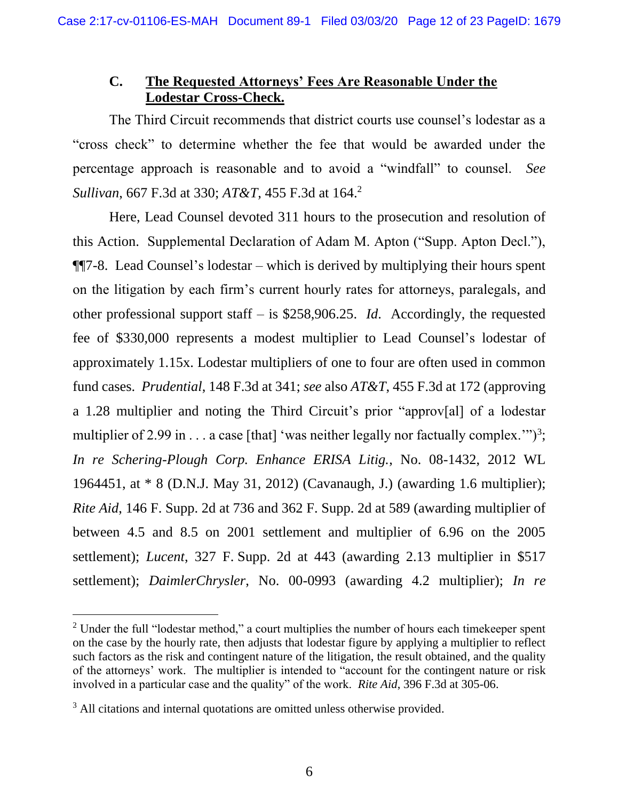#### <span id="page-13-0"></span>**C. The Requested Attorneys' Fees Are Reasonable Under the Lodestar Cross-Check.**

The Third Circuit recommends that district courts use counsel's lodestar as a "cross check" to determine whether the fee that would be awarded under the percentage approach is reasonable and to avoid a "windfall" to counsel. *See Sullivan*, 667 F.3d at 330; *AT&T*, 455 F.3d at 164. 2

Here, Lead Counsel devoted 311 hours to the prosecution and resolution of this Action. Supplemental Declaration of Adam M. Apton ("Supp. Apton Decl."), ¶¶7-8. Lead Counsel's lodestar – which is derived by multiplying their hours spent on the litigation by each firm's current hourly rates for attorneys, paralegals, and other professional support staff – is \$258,906.25. *Id*. Accordingly, the requested fee of \$330,000 represents a modest multiplier to Lead Counsel's lodestar of approximately 1.15x. Lodestar multipliers of one to four are often used in common fund cases. *Prudential*, 148 F.3d at 341; *see* also *AT&T*, 455 F.3d at 172 (approving a 1.28 multiplier and noting the Third Circuit's prior "approv[al] of a lodestar multiplier of 2.99 in . . . a case [that] 'was neither legally nor factually complex."")<sup>3</sup>; *In re Schering-Plough Corp. Enhance ERISA Litig.*, No. 08-1432, 2012 WL 1964451, at \* 8 (D.N.J. May 31, 2012) (Cavanaugh, J.) (awarding 1.6 multiplier); *Rite Aid*, 146 F. Supp. 2d at 736 and 362 F. Supp. 2d at 589 (awarding multiplier of between 4.5 and 8.5 on 2001 settlement and multiplier of 6.96 on the 2005 settlement); *Lucent*, 327 F. Supp. 2d at 443 (awarding 2.13 multiplier in \$517 settlement); *DaimlerChrysler*, No. 00-0993 (awarding 4.2 multiplier); *In re* 

 $2$  Under the full "lodestar method," a court multiplies the number of hours each time keeper spent on the case by the hourly rate, then adjusts that lodestar figure by applying a multiplier to reflect such factors as the risk and contingent nature of the litigation, the result obtained, and the quality of the attorneys' work. The multiplier is intended to "account for the contingent nature or risk involved in a particular case and the quality" of the work. *Rite Aid*, 396 F.3d at 305-06.

<sup>&</sup>lt;sup>3</sup> All citations and internal quotations are omitted unless otherwise provided.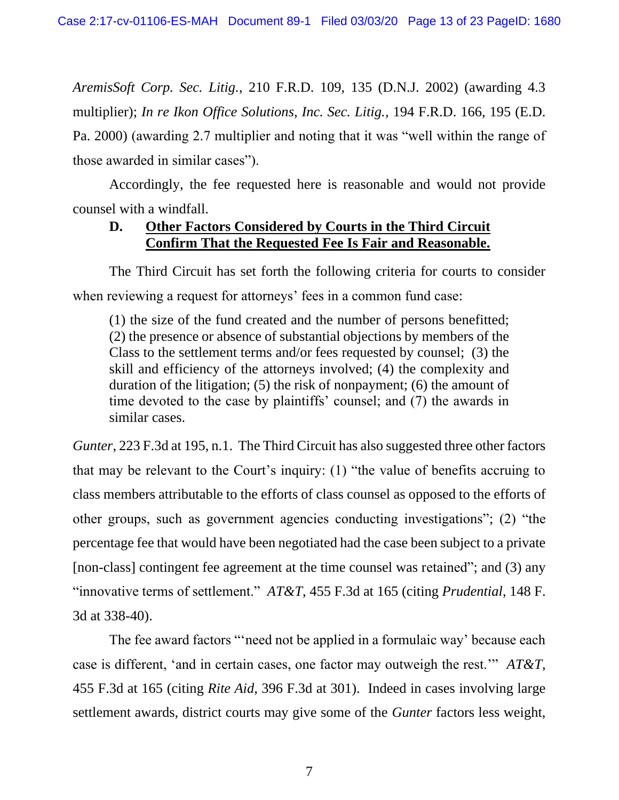*AremisSoft Corp. Sec. Litig.*, 210 F.R.D. 109, 135 (D.N.J. 2002) (awarding 4.3 multiplier); *In re Ikon Office Solutions, Inc. Sec. Litig.*, 194 F.R.D. 166, 195 (E.D. Pa. 2000) (awarding 2.7 multiplier and noting that it was "well within the range of those awarded in similar cases").

Accordingly, the fee requested here is reasonable and would not provide counsel with a windfall.

## <span id="page-14-0"></span>**D. Other Factors Considered by Courts in the Third Circuit Confirm That the Requested Fee Is Fair and Reasonable.**

The Third Circuit has set forth the following criteria for courts to consider when reviewing a request for attorneys' fees in a common fund case:

(1) the size of the fund created and the number of persons benefitted; (2) the presence or absence of substantial objections by members of the Class to the settlement terms and/or fees requested by counsel; (3) the skill and efficiency of the attorneys involved; (4) the complexity and duration of the litigation; (5) the risk of nonpayment; (6) the amount of time devoted to the case by plaintiffs' counsel; and (7) the awards in similar cases.

*Gunter*, 223 F.3d at 195, n.1. The Third Circuit has also suggested three other factors that may be relevant to the Court's inquiry: (1) "the value of benefits accruing to class members attributable to the efforts of class counsel as opposed to the efforts of other groups, such as government agencies conducting investigations"; (2) "the percentage fee that would have been negotiated had the case been subject to a private [non-class] contingent fee agreement at the time counsel was retained"; and (3) any "innovative terms of settlement." *AT&T*, 455 F.3d at 165 (citing *Prudential*, 148 F. 3d at 338-40).

The fee award factors "'need not be applied in a formulaic way' because each case is different, 'and in certain cases, one factor may outweigh the rest.'" *AT&T*, 455 F.3d at 165 (citing *Rite Aid*, 396 F.3d at 301). Indeed in cases involving large settlement awards, district courts may give some of the *Gunter* factors less weight,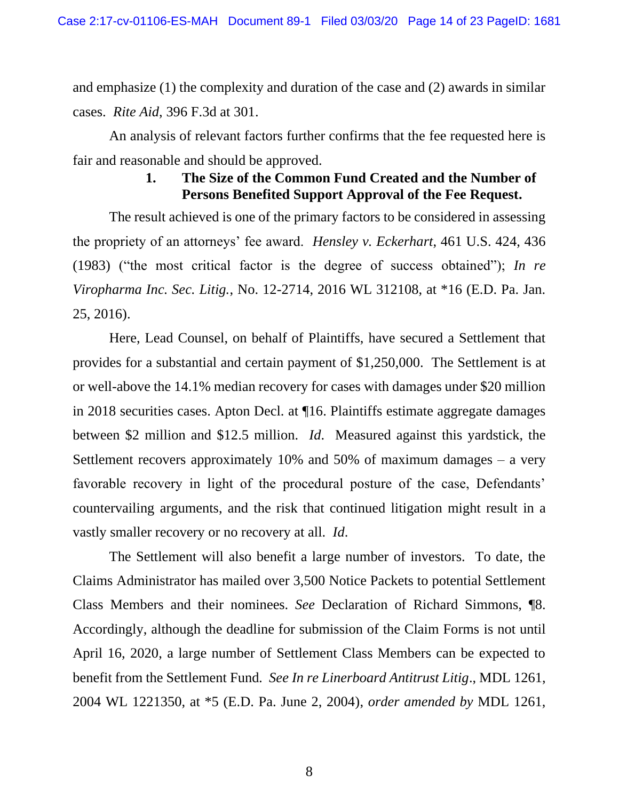and emphasize (1) the complexity and duration of the case and (2) awards in similar cases. *Rite Aid*, 396 F.3d at 301.

An analysis of relevant factors further confirms that the fee requested here is fair and reasonable and should be approved.

## **1. The Size of the Common Fund Created and the Number of Persons Benefited Support Approval of the Fee Request.**

The result achieved is one of the primary factors to be considered in assessing the propriety of an attorneys' fee award. *Hensley v. Eckerhart*, 461 U.S. 424, 436 (1983) ("the most critical factor is the degree of success obtained"); *In re Viropharma Inc. Sec. Litig.*, No. 12-2714, 2016 WL 312108, at \*16 (E.D. Pa. Jan. 25, 2016).

Here, Lead Counsel, on behalf of Plaintiffs, have secured a Settlement that provides for a substantial and certain payment of \$1,250,000. The Settlement is at or well-above the 14.1% median recovery for cases with damages under \$20 million in 2018 securities cases. Apton Decl. at ¶16. Plaintiffs estimate aggregate damages between \$2 million and \$12.5 million. *Id*. Measured against this yardstick, the Settlement recovers approximately 10% and 50% of maximum damages – a very favorable recovery in light of the procedural posture of the case, Defendants' countervailing arguments, and the risk that continued litigation might result in a vastly smaller recovery or no recovery at all. *Id*.

The Settlement will also benefit a large number of investors. To date, the Claims Administrator has mailed over 3,500 Notice Packets to potential Settlement Class Members and their nominees. *See* Declaration of Richard Simmons, ¶8. Accordingly, although the deadline for submission of the Claim Forms is not until April 16, 2020, a large number of Settlement Class Members can be expected to benefit from the Settlement Fund*. See In re Linerboard Antitrust Litig*., MDL 1261, 2004 WL 1221350, at \*5 (E.D. Pa. June 2, 2004), *order amended by* MDL 1261,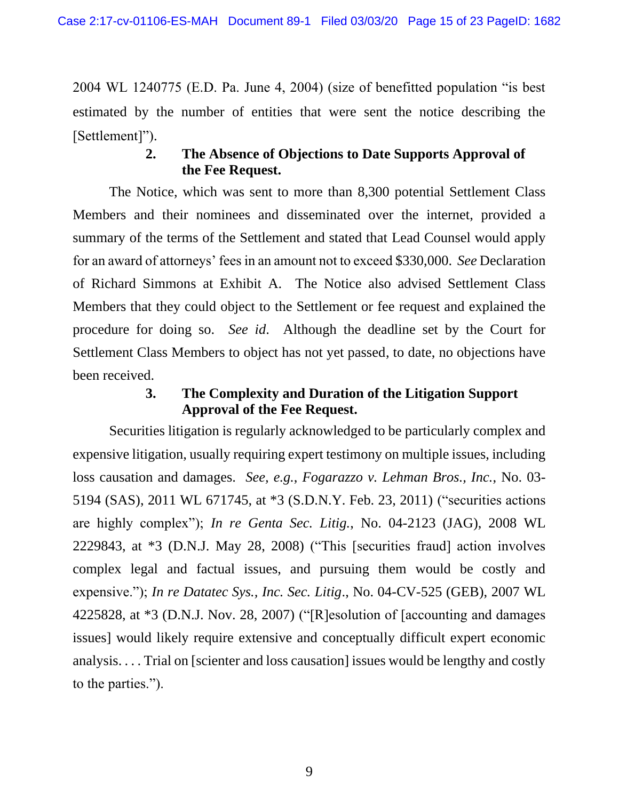2004 WL 1240775 (E.D. Pa. June 4, 2004) (size of benefitted population "is best estimated by the number of entities that were sent the notice describing the [Settlement]").

## **2. The Absence of Objections to Date Supports Approval of the Fee Request.**

The Notice, which was sent to more than 8,300 potential Settlement Class Members and their nominees and disseminated over the internet, provided a summary of the terms of the Settlement and stated that Lead Counsel would apply for an award of attorneys' fees in an amount not to exceed \$330,000. *See* Declaration of Richard Simmons at Exhibit A. The Notice also advised Settlement Class Members that they could object to the Settlement or fee request and explained the procedure for doing so. *See id*. Although the deadline set by the Court for Settlement Class Members to object has not yet passed, to date, no objections have been received.

## **3. The Complexity and Duration of the Litigation Support Approval of the Fee Request.**

Securities litigation is regularly acknowledged to be particularly complex and expensive litigation, usually requiring expert testimony on multiple issues, including loss causation and damages. *See, e.g.*, *Fogarazzo v. Lehman Bros., Inc.*, No. 03- 5194 (SAS), 2011 WL 671745, at \*3 (S.D.N.Y. Feb. 23, 2011) ("securities actions are highly complex"); *In re Genta Sec. Litig.*, No. 04-2123 (JAG), 2008 WL 2229843, at \*3 (D.N.J. May 28, 2008) ("This [securities fraud] action involves complex legal and factual issues, and pursuing them would be costly and expensive."); *In re Datatec Sys., Inc. Sec. Litig*., No. 04-CV-525 (GEB), 2007 WL 4225828, at \*3 (D.N.J. Nov. 28, 2007) ("[R]esolution of [accounting and damages issues] would likely require extensive and conceptually difficult expert economic analysis. . . . Trial on [scienter and loss causation] issues would be lengthy and costly to the parties.").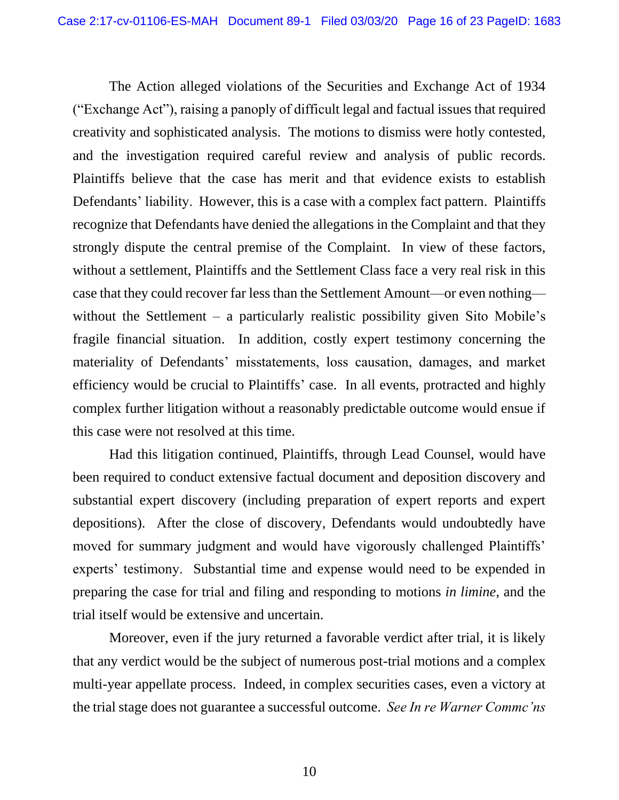The Action alleged violations of the Securities and Exchange Act of 1934 ("Exchange Act"), raising a panoply of difficult legal and factual issues that required creativity and sophisticated analysis. The motions to dismiss were hotly contested, and the investigation required careful review and analysis of public records. Plaintiffs believe that the case has merit and that evidence exists to establish Defendants' liability. However, this is a case with a complex fact pattern. Plaintiffs recognize that Defendants have denied the allegations in the Complaint and that they strongly dispute the central premise of the Complaint. In view of these factors, without a settlement, Plaintiffs and the Settlement Class face a very real risk in this case that they could recover far less than the Settlement Amount—or even nothing without the Settlement – a particularly realistic possibility given Sito Mobile's fragile financial situation. In addition, costly expert testimony concerning the materiality of Defendants' misstatements, loss causation, damages, and market efficiency would be crucial to Plaintiffs' case. In all events, protracted and highly complex further litigation without a reasonably predictable outcome would ensue if this case were not resolved at this time.

Had this litigation continued, Plaintiffs, through Lead Counsel, would have been required to conduct extensive factual document and deposition discovery and substantial expert discovery (including preparation of expert reports and expert depositions). After the close of discovery, Defendants would undoubtedly have moved for summary judgment and would have vigorously challenged Plaintiffs' experts' testimony. Substantial time and expense would need to be expended in preparing the case for trial and filing and responding to motions *in limine*, and the trial itself would be extensive and uncertain.

Moreover, even if the jury returned a favorable verdict after trial, it is likely that any verdict would be the subject of numerous post-trial motions and a complex multi-year appellate process. Indeed, in complex securities cases, even a victory at the trial stage does not guarantee a successful outcome. *See In re Warner Commc'ns*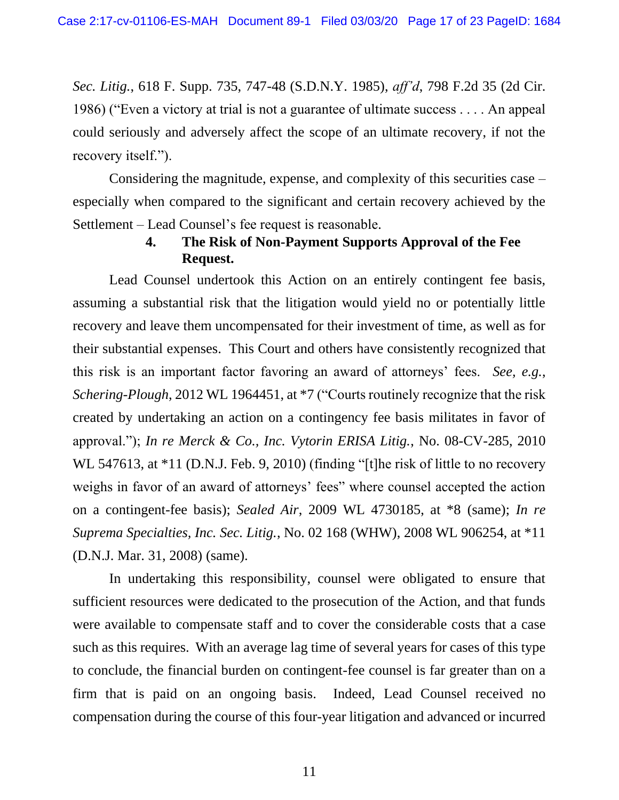*Sec. Litig.*, 618 F. Supp. 735, 747-48 (S.D.N.Y. 1985), *aff'd*, 798 F.2d 35 (2d Cir. 1986) ("Even a victory at trial is not a guarantee of ultimate success . . . . An appeal could seriously and adversely affect the scope of an ultimate recovery, if not the recovery itself.").

Considering the magnitude, expense, and complexity of this securities case – especially when compared to the significant and certain recovery achieved by the Settlement – Lead Counsel's fee request is reasonable.

## **4. The Risk of Non-Payment Supports Approval of the Fee Request.**

Lead Counsel undertook this Action on an entirely contingent fee basis, assuming a substantial risk that the litigation would yield no or potentially little recovery and leave them uncompensated for their investment of time, as well as for their substantial expenses. This Court and others have consistently recognized that this risk is an important factor favoring an award of attorneys' fees. *See, e.g.*, *Schering-Plough*, 2012 WL 1964451, at \*7 ("Courts routinely recognize that the risk created by undertaking an action on a contingency fee basis militates in favor of approval."); *In re Merck & Co., Inc. Vytorin ERISA Litig.*, No. 08-CV-285, 2010 WL 547613, at \*11 (D.N.J. Feb. 9, 2010) (finding "[t]he risk of little to no recovery weighs in favor of an award of attorneys' fees" where counsel accepted the action on a contingent-fee basis); *Sealed Air*, 2009 WL 4730185, at \*8 (same); *In re Suprema Specialties, Inc. Sec. Litig.*, No. 02 168 (WHW), 2008 WL 906254, at \*11 (D.N.J. Mar. 31, 2008) (same).

In undertaking this responsibility, counsel were obligated to ensure that sufficient resources were dedicated to the prosecution of the Action, and that funds were available to compensate staff and to cover the considerable costs that a case such as this requires. With an average lag time of several years for cases of this type to conclude, the financial burden on contingent-fee counsel is far greater than on a firm that is paid on an ongoing basis. Indeed, Lead Counsel received no compensation during the course of this four-year litigation and advanced or incurred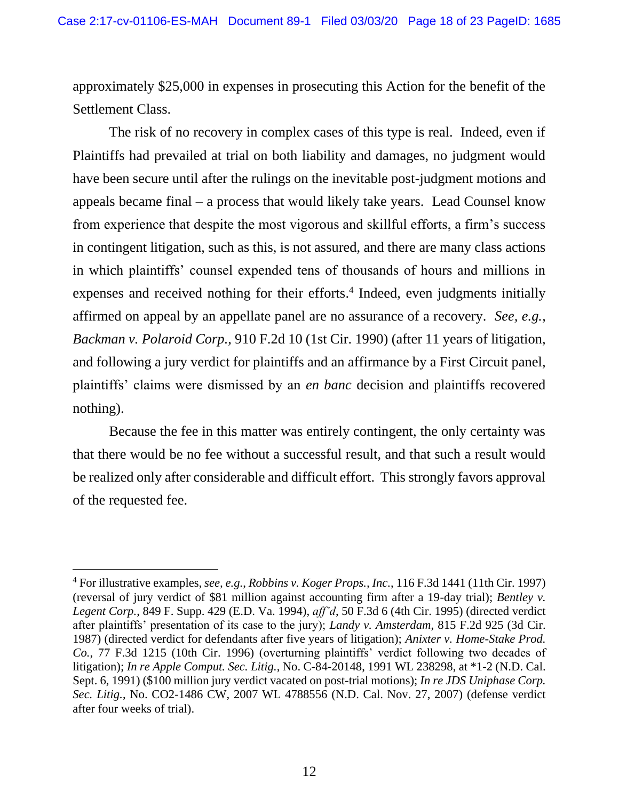approximately \$25,000 in expenses in prosecuting this Action for the benefit of the Settlement Class.

The risk of no recovery in complex cases of this type is real. Indeed, even if Plaintiffs had prevailed at trial on both liability and damages, no judgment would have been secure until after the rulings on the inevitable post-judgment motions and appeals became final – a process that would likely take years. Lead Counsel know from experience that despite the most vigorous and skillful efforts, a firm's success in contingent litigation, such as this, is not assured, and there are many class actions in which plaintiffs' counsel expended tens of thousands of hours and millions in expenses and received nothing for their efforts. 4 Indeed, even judgments initially affirmed on appeal by an appellate panel are no assurance of a recovery. *See, e.g.*, *Backman v. Polaroid Corp.*, 910 F.2d 10 (1st Cir. 1990) (after 11 years of litigation, and following a jury verdict for plaintiffs and an affirmance by a First Circuit panel, plaintiffs' claims were dismissed by an *en banc* decision and plaintiffs recovered nothing).

Because the fee in this matter was entirely contingent, the only certainty was that there would be no fee without a successful result, and that such a result would be realized only after considerable and difficult effort. This strongly favors approval of the requested fee.

<sup>4</sup> For illustrative examples, *see, e.g.*, *Robbins v. Koger Props., Inc.*, 116 F.3d 1441 (11th Cir. 1997) (reversal of jury verdict of \$81 million against accounting firm after a 19-day trial); *Bentley v. Legent Corp.*, 849 F. Supp. 429 (E.D. Va. 1994), *aff'd*, 50 F.3d 6 (4th Cir. 1995) (directed verdict after plaintiffs' presentation of its case to the jury); *Landy v. Amsterdam*, 815 F.2d 925 (3d Cir. 1987) (directed verdict for defendants after five years of litigation); *Anixter v. Home-Stake Prod. Co.*, 77 F.3d 1215 (10th Cir. 1996) (overturning plaintiffs' verdict following two decades of litigation); *In re Apple Comput. Sec. Litig.*, No. C-84-20148, 1991 WL 238298, at \*1-2 (N.D. Cal. Sept. 6, 1991) (\$100 million jury verdict vacated on post-trial motions); *In re JDS Uniphase Corp. Sec. Litig.*, No. CO2-1486 CW, 2007 WL 4788556 (N.D. Cal. Nov. 27, 2007) (defense verdict after four weeks of trial).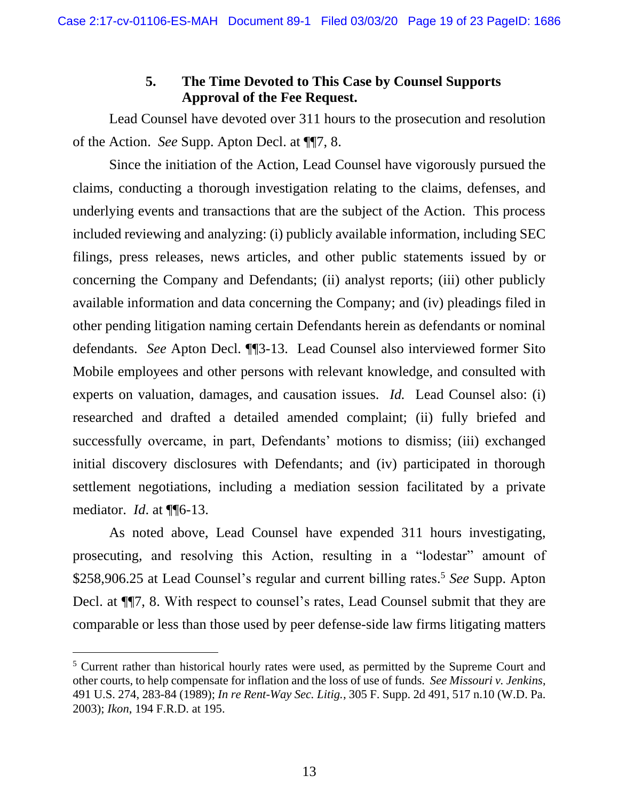## **5. The Time Devoted to This Case by Counsel Supports Approval of the Fee Request.**

Lead Counsel have devoted over 311 hours to the prosecution and resolution of the Action. *See* Supp. Apton Decl. at ¶¶7, 8.

Since the initiation of the Action, Lead Counsel have vigorously pursued the claims, conducting a thorough investigation relating to the claims, defenses, and underlying events and transactions that are the subject of the Action. This process included reviewing and analyzing: (i) publicly available information, including SEC filings, press releases, news articles, and other public statements issued by or concerning the Company and Defendants; (ii) analyst reports; (iii) other publicly available information and data concerning the Company; and (iv) pleadings filed in other pending litigation naming certain Defendants herein as defendants or nominal defendants. *See* Apton Decl. ¶¶3-13. Lead Counsel also interviewed former Sito Mobile employees and other persons with relevant knowledge, and consulted with experts on valuation, damages, and causation issues. *Id.* Lead Counsel also: (i) researched and drafted a detailed amended complaint; (ii) fully briefed and successfully overcame, in part, Defendants' motions to dismiss; (iii) exchanged initial discovery disclosures with Defendants; and (iv) participated in thorough settlement negotiations, including a mediation session facilitated by a private mediator. *Id*. at ¶¶6-13.

As noted above, Lead Counsel have expended 311 hours investigating, prosecuting, and resolving this Action, resulting in a "lodestar" amount of \$258,906.25 at Lead Counsel's regular and current billing rates. <sup>5</sup> *See* Supp. Apton Decl. at ¶¶7, 8. With respect to counsel's rates, Lead Counsel submit that they are comparable or less than those used by peer defense-side law firms litigating matters

<sup>&</sup>lt;sup>5</sup> Current rather than historical hourly rates were used, as permitted by the Supreme Court and other courts, to help compensate for inflation and the loss of use of funds. *See Missouri v. Jenkins*, 491 U.S. 274, 283-84 (1989); *In re Rent-Way Sec. Litig.*, 305 F. Supp. 2d 491, 517 n.10 (W.D. Pa. 2003); *Ikon*, 194 F.R.D. at 195.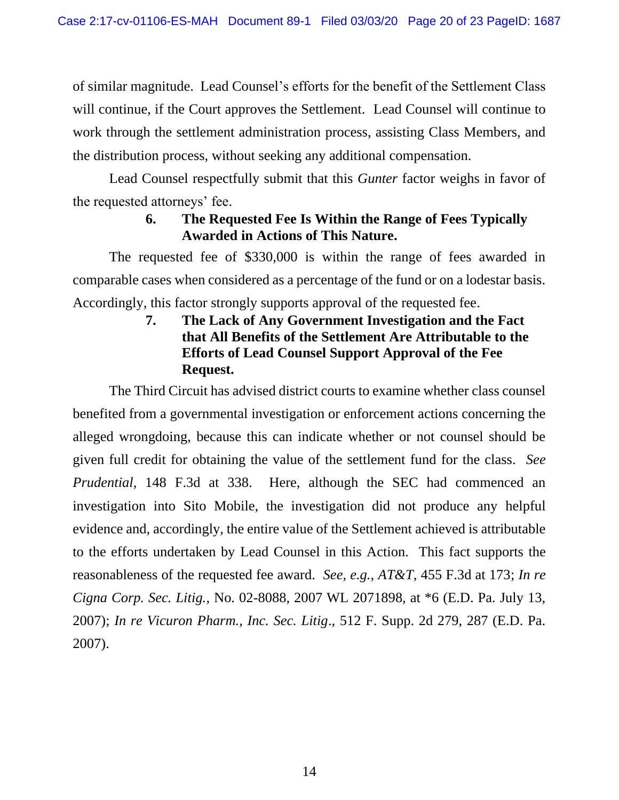of similar magnitude. Lead Counsel's efforts for the benefit of the Settlement Class will continue, if the Court approves the Settlement. Lead Counsel will continue to work through the settlement administration process, assisting Class Members, and the distribution process, without seeking any additional compensation.

Lead Counsel respectfully submit that this *Gunter* factor weighs in favor of the requested attorneys' fee.

# **6. The Requested Fee Is Within the Range of Fees Typically Awarded in Actions of This Nature.**

The requested fee of \$330,000 is within the range of fees awarded in comparable cases when considered as a percentage of the fund or on a lodestar basis. Accordingly, this factor strongly supports approval of the requested fee.

> **7. The Lack of Any Government Investigation and the Fact that All Benefits of the Settlement Are Attributable to the Efforts of Lead Counsel Support Approval of the Fee Request.**

The Third Circuit has advised district courts to examine whether class counsel benefited from a governmental investigation or enforcement actions concerning the alleged wrongdoing, because this can indicate whether or not counsel should be given full credit for obtaining the value of the settlement fund for the class. *See Prudential*, 148 F.3d at 338. Here, although the SEC had commenced an investigation into Sito Mobile, the investigation did not produce any helpful evidence and, accordingly, the entire value of the Settlement achieved is attributable to the efforts undertaken by Lead Counsel in this Action. This fact supports the reasonableness of the requested fee award. *See, e.g.*, *AT&T*, 455 F.3d at 173; *In re Cigna Corp. Sec. Litig.*, No. 02-8088, 2007 WL 2071898, at \*6 (E.D. Pa. July 13, 2007); *In re Vicuron Pharm., Inc. Sec. Litig*., 512 F. Supp. 2d 279, 287 (E.D. Pa. 2007).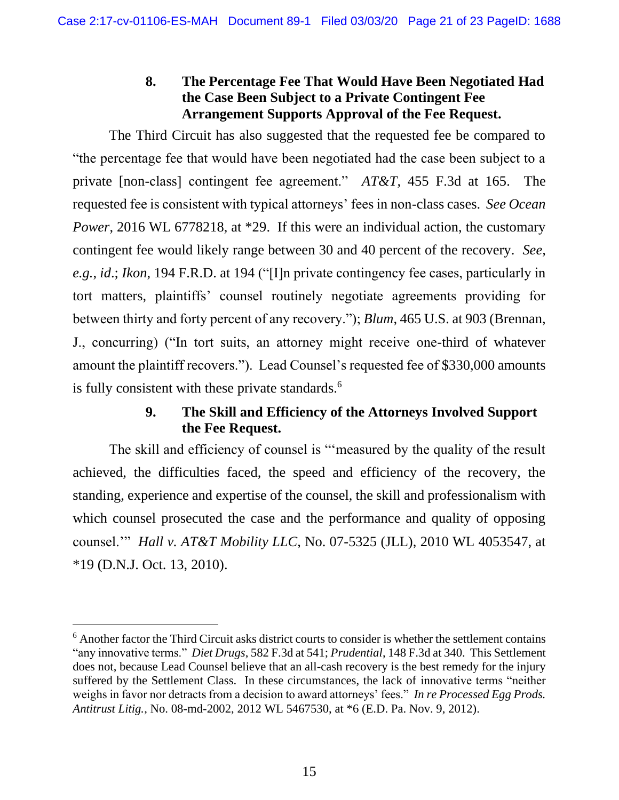## **8. The Percentage Fee That Would Have Been Negotiated Had the Case Been Subject to a Private Contingent Fee Arrangement Supports Approval of the Fee Request.**

The Third Circuit has also suggested that the requested fee be compared to "the percentage fee that would have been negotiated had the case been subject to a private [non-class] contingent fee agreement." *AT&T*, 455 F.3d at 165. The requested fee is consistent with typical attorneys' fees in non-class cases. *See Ocean Power*, 2016 WL 6778218, at \*29. If this were an individual action, the customary contingent fee would likely range between 30 and 40 percent of the recovery. *See, e.g.*, *id*.; *Ikon*, 194 F.R.D. at 194 ("[I]n private contingency fee cases, particularly in tort matters, plaintiffs' counsel routinely negotiate agreements providing for between thirty and forty percent of any recovery."); *Blum*, 465 U.S. at 903 (Brennan, J., concurring) ("In tort suits, an attorney might receive one-third of whatever amount the plaintiff recovers."). Lead Counsel's requested fee of \$330,000 amounts is fully consistent with these private standards.<sup>6</sup>

## **9. The Skill and Efficiency of the Attorneys Involved Support the Fee Request.**

The skill and efficiency of counsel is "'measured by the quality of the result achieved, the difficulties faced, the speed and efficiency of the recovery, the standing, experience and expertise of the counsel, the skill and professionalism with which counsel prosecuted the case and the performance and quality of opposing counsel.'" *Hall v. AT&T Mobility LLC*, No. 07-5325 (JLL), 2010 WL 4053547, at \*19 (D.N.J. Oct. 13, 2010).

<sup>&</sup>lt;sup>6</sup> Another factor the Third Circuit asks district courts to consider is whether the settlement contains "any innovative terms." *Diet Drugs*, 582 F.3d at 541; *Prudential*, 148 F.3d at 340. This Settlement does not, because Lead Counsel believe that an all-cash recovery is the best remedy for the injury suffered by the Settlement Class. In these circumstances, the lack of innovative terms "neither weighs in favor nor detracts from a decision to award attorneys' fees." *In re Processed Egg Prods. Antitrust Litig.*, No. 08-md-2002, 2012 WL 5467530, at \*6 (E.D. Pa. Nov. 9, 2012).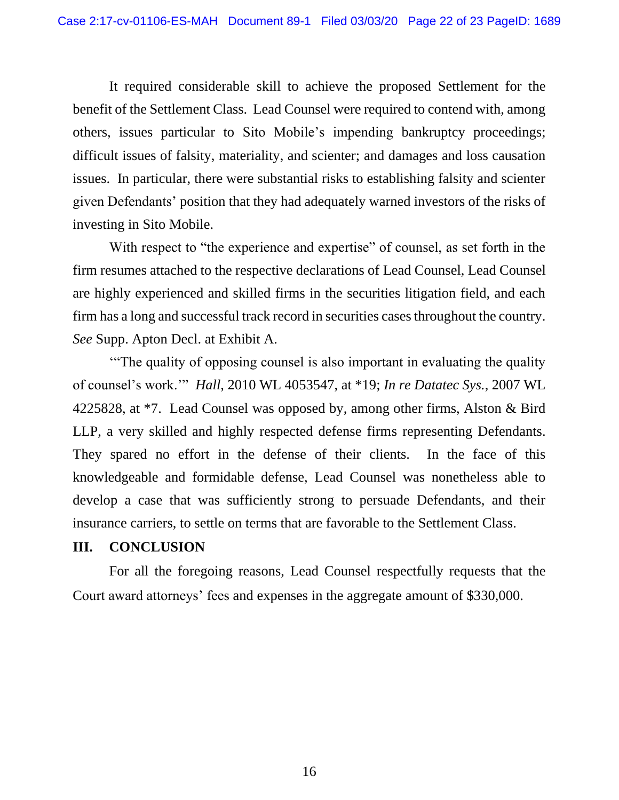It required considerable skill to achieve the proposed Settlement for the benefit of the Settlement Class. Lead Counsel were required to contend with, among others, issues particular to Sito Mobile's impending bankruptcy proceedings; difficult issues of falsity, materiality, and scienter; and damages and loss causation issues. In particular, there were substantial risks to establishing falsity and scienter given Defendants' position that they had adequately warned investors of the risks of investing in Sito Mobile.

With respect to "the experience and expertise" of counsel, as set forth in the firm resumes attached to the respective declarations of Lead Counsel, Lead Counsel are highly experienced and skilled firms in the securities litigation field, and each firm has a long and successful track record in securities cases throughout the country. *See* Supp. Apton Decl. at Exhibit A.

'"The quality of opposing counsel is also important in evaluating the quality of counsel's work.'" *Hall*, 2010 WL 4053547, at \*19; *In re Datatec Sys.*, 2007 WL 4225828, at \*7. Lead Counsel was opposed by, among other firms, Alston & Bird LLP, a very skilled and highly respected defense firms representing Defendants. They spared no effort in the defense of their clients. In the face of this knowledgeable and formidable defense, Lead Counsel was nonetheless able to develop a case that was sufficiently strong to persuade Defendants, and their insurance carriers, to settle on terms that are favorable to the Settlement Class.

#### <span id="page-23-0"></span>**III. CONCLUSION**

For all the foregoing reasons, Lead Counsel respectfully requests that the Court award attorneys' fees and expenses in the aggregate amount of \$330,000.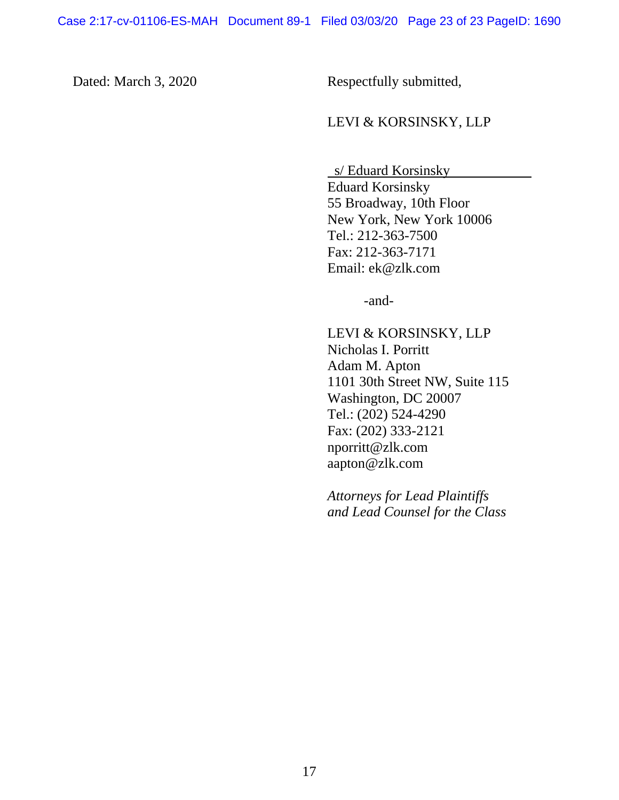Dated: March 3, 2020 Respectfully submitted,

#### LEVI & KORSINSKY, LLP

 s/ Eduard Korsinsky . Eduard Korsinsky 55 Broadway, 10th Floor New York, New York 10006 Tel.: 212-363-7500 Fax: 212-363-7171 Email: ek@zlk.com

-and-

LEVI & KORSINSKY, LLP Nicholas I. Porritt Adam M. Apton 1101 30th Street NW, Suite 115 Washington, DC 20007 Tel.: (202) 524-4290 Fax: (202) 333-2121 nporritt@zlk.com aapton@zlk.com

*Attorneys for Lead Plaintiffs and Lead Counsel for the Class*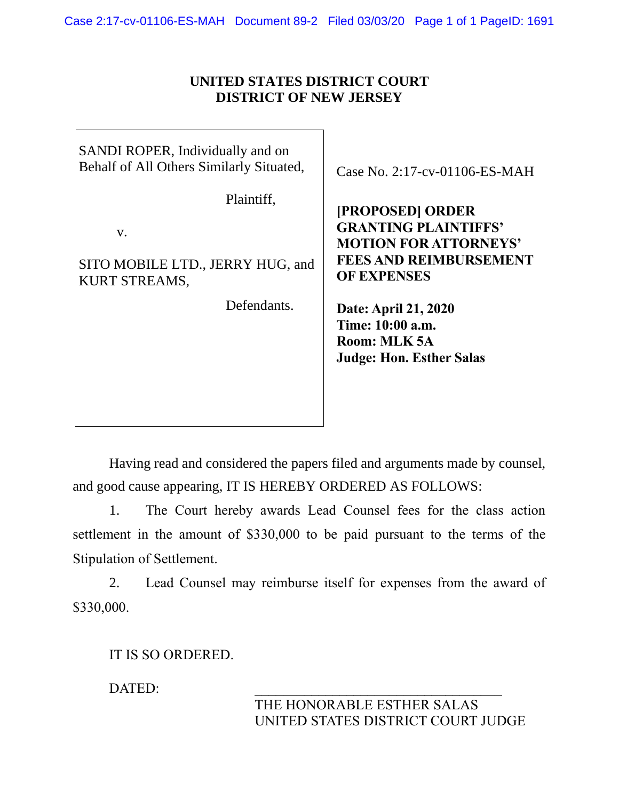#### **UNITED STATES DISTRICT COURT DISTRICT OF NEW JERSEY**

| SANDI ROPER, Individually and on<br>Behalf of All Others Similarly Situated, | Case No. 2:17-cv-01106-ES-MAH                                                                                                          |
|------------------------------------------------------------------------------|----------------------------------------------------------------------------------------------------------------------------------------|
| Plaintiff,<br>V.<br>SITO MOBILE LTD., JERRY HUG, and<br><b>KURT STREAMS,</b> | [PROPOSED] ORDER<br><b>GRANTING PLAINTIFFS'</b><br><b>MOTION FOR ATTORNEYS'</b><br><b>FEES AND REIMBURSEMENT</b><br><b>OF EXPENSES</b> |
| Defendants.                                                                  | Date: April 21, 2020<br>Time: 10:00 a.m.<br>Room: MLK 5A<br><b>Judge: Hon. Esther Salas</b>                                            |

Having read and considered the papers filed and arguments made by counsel, and good cause appearing, IT IS HEREBY ORDERED AS FOLLOWS:

1. The Court hereby awards Lead Counsel fees for the class action settlement in the amount of \$330,000 to be paid pursuant to the terms of the Stipulation of Settlement.

2. Lead Counsel may reimburse itself for expenses from the award of \$330,000.

IT IS SO ORDERED.

DATED: